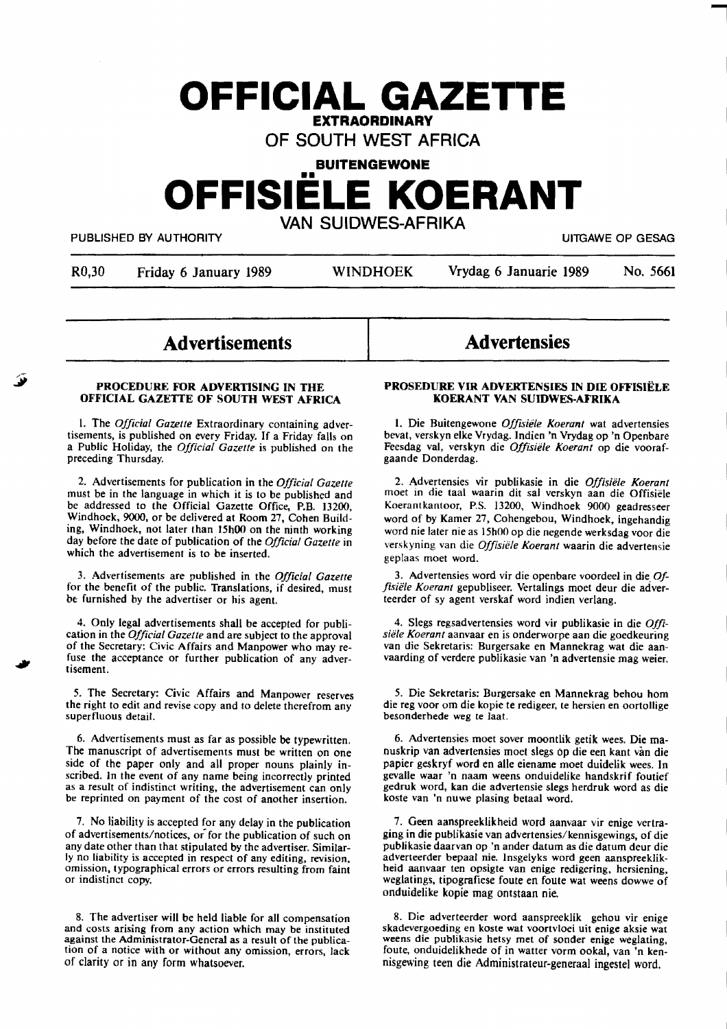# **OFFICIAL GAZETTE EXTRAORDINARY**

OF SOUTH WEST AFRICA

# **BUITENGEWONE**

# •• **OFFISIELE KOERANT**

VAN SUIDWES-AFRIKA

PUBLISHED BY AUTHORITY **The State of the State of State of Contract Contract Contract Contract Contract Contract Contract Contract Contract Contract Contract Contract Contract Contract Contract Contract Contract Contract C** 

-

R0,30 Friday 6 January 1989 WINDHOEK Vrydag 6 Januarie 1989 No. 5661

**Advertisements** 

#### **PROCEDURE FOR ADVERTISING IN THE OFFICIAL GAZETTE OF SOUTH WEST AFRICA**

I. The *Official Gazette* Extraordinary containing advertisements, is published on every Friday. If a Friday falls on a Public Holiday, the *Official Gazette* is published on the preceding Thursday.

2. Advertisements for publication in the *Official Gazette*  must be in the language in which it is to be published and be addressed to the Official Gazette Office, P.B. 13200, Windhoek, 9000, or be delivered at **Room** 27, Cohen Building, Windhoek, not later than 15h00 on the ninth working day before the date of publication of the *Official Gazette* in which the advertisement is to be inserted.

3. Advertisements are published in the *Official Gazette*  for the benefit of the public. Translations, if desired, must be furnished by the advertiser or his agent.

4. Only legal advertisements shall be accepted for publication in the *Official Gazette* and are subject to the approval of the Secretary: Civic Affairs and Manpower who may refuse the acceptance or further publication of any advertisement.

5. The Secretary: Civic Affairs and Manpower reserves the right to edit and revise copy and to delete therefrom any superfluous detail.

6. Advertisements must as far as possible be typewritten. The manuscript of advertisements must be **written** on one side of the paper only and all proper nouns plainly in-<br>scribed. In the event of any name being incorrectly printed as a result of indistinct writing, the advertisement can only be reprinted on payment of the cost of another insertion.

7. No liability is accepted for any delay in the publication of advertisements/notices, or for the publication of such on any date other than that stipulated by the advertiser. Similarly no liability is accepted in respect of any editing, revision. omission, typographical errors or errors resulting from faint or indistinct copy.

8. The advertiser will be held liable for all compensation and costs arising from any action which may be instituted against the Administrator-General as a result of the publication of a notice with or without any omission, errors, lack of clarity or in any form whatsoever.

# **Advertensies**

#### **PROSEDURE VIR ADVERTENSIES** IN **DIE OFFISIELE KOERANT VAN SUIDWES-AFRIKA**

I. Die Buitengewone *Offisiele Koerant* **wat** advertensies bevat, verskyn elke Vrydag. lndien 'n Vrydag op 'n Openbare Feesdag val, **verskyn** die *Offisiele Koerant* op die voorafgaande Donderdag.

2. Advertensies vir publikasie in die *Offisiele Koerant*  moet in die taal waarin dit sal verskyn aan die Offisiele Koerantkantoor, P.S. 13200, Windhoek 9000 geadresseer word of by Kamer 27, Cohengebou, Windhoek, ingehandig word nie later nie as 15h00 op die negende werksdag voor die verskyning van die *Offisiele Koerant* waarin die advertensie geplaas moet word.

3. Advertensies word vir die openbare voordeel in die. *Offisiifle Koerant* gepubliseer. Vertalings moet deur die adverteerder of sy agent verskaf word indien verlang.

4. Slegs regsadvertensies word vir publikasie in die *Offisiele Koeranr* aanvaar en is onderworpe **aan** die goedkeuring van die Sekretaris: Burgersake en Mannekrag wat die aanvaarding of verdere publikasie van 'n advertensie mag weier.

*5.* Die Sekretaris: Burgersake en Mannekrag behou horn die reg voor om die kopie te redigeer, te hersien en oortollige besonderhede weg te laat.

6. Advertensies moet sover moontlik **getik** wees. Die manuskrip van advertensies moet slegs op die een kant van die papier geskryf word en alle eiename moet duidelik wees. In gevalle waar 'n naam weens onduidelike handskrif foutief gedruk word, **kan** die advertensie slegs herdruk word as die koste van 'n nuwe plasing betaal word.

7. Geen aanspreeklikheid word aanvaar vir enige vertraging in die publikasie van advertensies/kennisgewings, of die publikasie daarvan op 'n ander datum as die datum deur die adverteerder bepaal nie. lnsgelyks word geen aanspreeklikheid aanvaar ten opsigte van enige redigering, hersiening, weglatings, tipografiese foute en foute wat weens dowwe of onduidelike kopie mag ontstaan nie.

8. Die adverteerder word aanspreeklik gehou vir enige skadevergoeding en koste wat voortvloei uit enige aksie wat weens die publikasie hetsy met of sonder enige weglating, foute, onduidelikhede of in watter vorm ookal, van 'n kennisgewing teen die Administrateur-generaal ingestel word.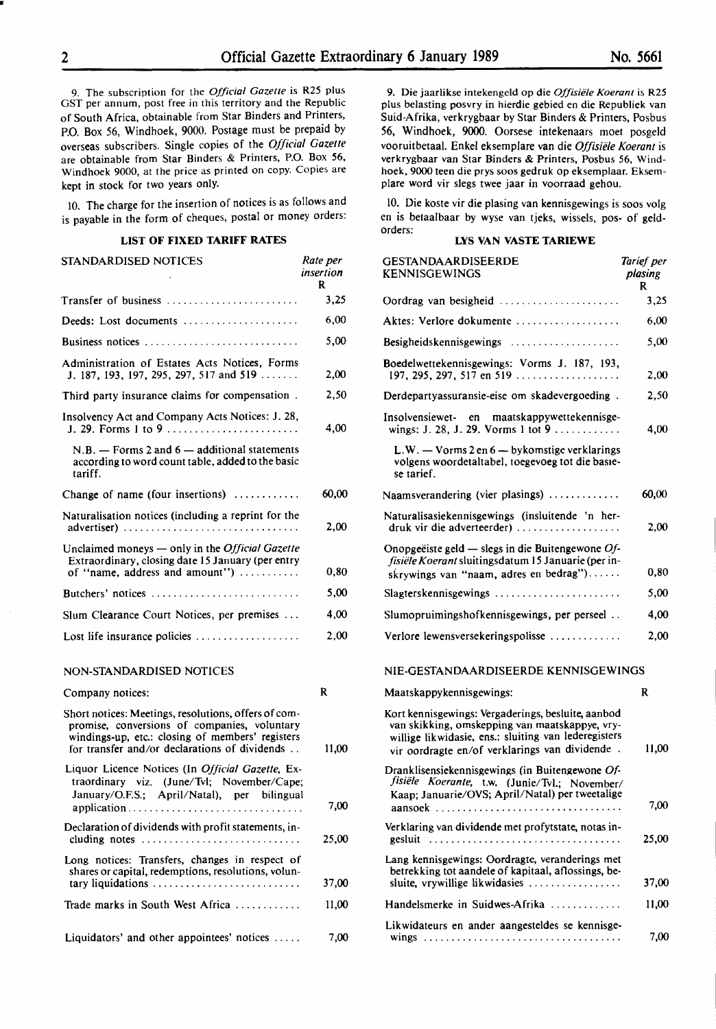9. The subscription for the *Official Gazette* is R25 plus OST per annum, post free in this territory and the Republic of South Africa, obtainable from Star Binders and Printers, P.O. Box 56, Windhoek, 9000. Postage must be prepaid by overseas subscribers. Single copies of the *Official Gazette*  are obtainable from Star Binders & Printers, P.O. Box 56, Windhoek 9000, at the price as printed on copy. Copies are kept in stock for two years only.

IO. The charge for the insertion of notices is as follows and is payable in the form of cheques, postal or money orders:

## **LIST OF FIXED TARIFF RATES**

| STANDARDISED NOTICES                                                                                                                   | Rate per<br>insertion<br>R |
|----------------------------------------------------------------------------------------------------------------------------------------|----------------------------|
| Transfer of business                                                                                                                   | 3,25                       |
| Deeds: Lost documents                                                                                                                  | 6,00                       |
| Business notices                                                                                                                       | 5,00                       |
| Administration of Estates Acts Notices, Forms<br>J. 187, 193, 197, 295, 297, 517 and 519                                               | 2,00                       |
| Third party insurance claims for compensation.                                                                                         | 2,50                       |
| Insolvency Act and Company Acts Notices: J. 28,<br>J. 29. Forms 1 to 9                                                                 | 4,00                       |
| $N.B.$ — Forms 2 and 6 — additional statements<br>according to word count table, added to the basic<br>tariff.                         |                            |
| Change of name (four insertions)                                                                                                       | 60,00                      |
| Naturalisation notices (including a reprint for the                                                                                    | 2,00                       |
| Unclaimed moneys — only in the Official Gazette<br>Extraordinary, closing date 15 January (per entry<br>of "name, address and amount") | 0,80                       |
| Butchers' notices                                                                                                                      | 5.00                       |
| Slum Clearance Court Notices, per premises                                                                                             | 4,00                       |
| Lost life insurance policies $\dots \dots \dots \dots \dots$                                                                           | 2.00                       |

#### **NON-STANDARDISED** NOTICES

| Company notices:                                                                                                                                                                                          | R     |
|-----------------------------------------------------------------------------------------------------------------------------------------------------------------------------------------------------------|-------|
| Short notices: Meetings, resolutions, offers of com-<br>promise, conversions of companies, voluntary<br>windings-up, etc.: closing of members' registers<br>for transfer and/or declarations of dividends | 11,00 |
| Liquor Licence Notices (In <i>Official Gazette</i> , Ex-<br>traordinary viz. (June/Tvl: November/Cape;<br>January/O.F.S.; April/Natal), per bilingual<br>application                                      | 7,00  |
| Declaration of dividends with profit statements, in-<br>cluding notes $\ldots \ldots \ldots \ldots \ldots \ldots \ldots \ldots \ldots$                                                                    | 25.00 |
| Long notices: Transfers, changes in respect of<br>shares or capital, redemptions, resolutions, volun-                                                                                                     | 37,00 |
| Trade marks in South West Africa                                                                                                                                                                          | 11.00 |
| Liquidators' and other appointees' notices $\dots$ .                                                                                                                                                      | 7,00  |

9. Die jaarlikse intekengeld op die *Offisiele Koerant* is R25 plus belasting posvry in hierdie gebied en die Republiek van Suid-Afrika, verkrygbaar by Star Binders & Printers, Posbus 56, Windhoek, **9000.** Oorsese intekenaars moet posgeld vooruitbetaal. Enkel eksemplare van die *Offisiele Koerant* is **verkrygbaar van** Star Binders & **Printers,** Posbus 56, Windhoek, 9000 teen die prys soos gedruk op eksemplaar. Eksemplare word vir slegs twee jaar in voorraad gehou.

10. Die koste vir die plasing van kennisgewings is soos volg en is betaalbaar by wyse van tjeks, wissels, pos- of geldorders:

#### **LYS VAN VASTE TARIEWE**

| GESTANDAARDISEERDE<br><b>KENNISGEWINGS</b>                                                                                                                                                                     | Tarief per<br>plasing<br>R |
|----------------------------------------------------------------------------------------------------------------------------------------------------------------------------------------------------------------|----------------------------|
| Oordrag van besigheid                                                                                                                                                                                          | 3,25                       |
| Aktes: Verlore dokumente                                                                                                                                                                                       | 6,00                       |
| Besigheidskennisgewings                                                                                                                                                                                        | 5,00                       |
| Boedelwettekennisgewings: Vorms J. 187, 193,<br>197, 295, 297, 517 en 519                                                                                                                                      | 2,00                       |
| Derdepartyassuransie-eise om skadevergoeding.                                                                                                                                                                  | 2,50                       |
| Insolvensiewet- en maatskappywettekennisge-<br>wings: J. 28, J. 29. Vorms 1 tot 9                                                                                                                              | 4,00                       |
| $L.W. - V \text{orms } 2 \text{ en } 6 - \text{bykomstige verklarings}$<br>volgens woordetaltabel, toegevoeg tot die basie-<br>se tarief.                                                                      |                            |
| Naamsverandering (vier plasings)                                                                                                                                                                               | 60,00                      |
| Naturalisasiekennisgewings (insluitende 'n her-<br>druk vir die adverteerder)                                                                                                                                  | 2,00                       |
| Onopgeëiste geld — slegs in die Buitengewone $Of$ -<br>fisiële Koerant sluitingsdatum 15 Januarie (per in-<br>skrywings van "naam, adres en bedrag")                                                           | 0,80                       |
| $Slagterskenn isgewings \ldots \ldots \ldots \ldots \ldots \ldots \ldots$                                                                                                                                      | 5,00                       |
| Slumopruimingshofkennisgewings, per perseel                                                                                                                                                                    | 4,00                       |
| Verlore lewensversekeringspolisse                                                                                                                                                                              | 2,00                       |
| NIE-GESTANDAARDISEERDE KENNISGEWINGS                                                                                                                                                                           |                            |
| Maatskappykennisgewings:                                                                                                                                                                                       | R                          |
| Kort kennisgewings: Vergaderings, besluite, aanbod<br>van skikking, omskepping van maatskappye, vry-<br>willige likwidasie, ens.: sluiting van lederegisters<br>vir oordragte en/of verklarings van dividende. | 11,00                      |
| Dranklisensiekennisgewings (in Buitengewone Of-<br>fisiële Koerante, t.w. (Junie/Tvl.; November/<br>Kaap; Januarie/OVS; April/Natal) per tweetalige<br>aansoek                                                 | 7,00                       |
| Verklaring van dividende met profytstate, notas in-<br>eesluit                                                                                                                                                 | 25,00                      |
| Lang kennisgewings: Oordragte, veranderings met<br>betrekking tot aandele of kapitaal, aflossings, be-<br>sluite, vrywillige likwidasies                                                                       | 37,00                      |
| Handelsmerke in Suidwes-Afrika                                                                                                                                                                                 | 11,00                      |
| Likwidateurs en ander aangesteldes se kennisge-                                                                                                                                                                |                            |
|                                                                                                                                                                                                                | 7,00                       |

..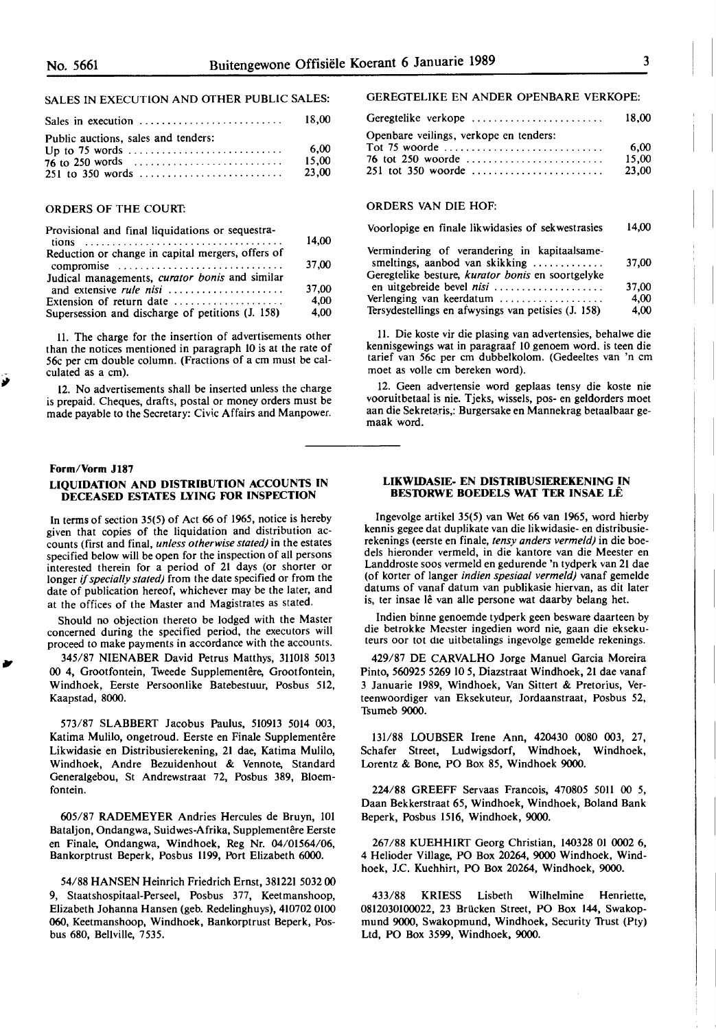### SALES IN EXECUTION AND OTHER PUBLIC SALES:

| Sales in execution $\ldots$ , , , , , ,                                                                       | - 18.00                |
|---------------------------------------------------------------------------------------------------------------|------------------------|
| Public auctions, sales and tenders:<br>Up to 75 words $\dots \dots \dots \dots \dots \dots \dots \dots \dots$ | 6.00<br>15.00<br>23,00 |

#### ORDERS OF THE COURT:

| Provisional and final liquidations or sequestra-             | 14.00 |
|--------------------------------------------------------------|-------|
| Reduction or change in capital mergers, offers of            |       |
| compromise<br>Judical managements, curator bonis and similar | 37,00 |
|                                                              | 37,00 |
| Extension of return date                                     | 4.00  |
| Supersession and discharge of petitions (J. 158)             | 4.00  |

II. **The** charge for **the** insertion of advertisements **other**  than the notices mentioned in paragraph 10 is at the rate of 56c per cm double column. (Fractions of a cm must be calculated as a cm).

12. **No** advertisements **shall** be inserted unless the **charge**  is prepaid. Cheques, drafts, postal or money orders must be made payable to the Secretary: Civic Affairs and Manpower.

#### **Form/Vorm J187**

*ii* 

,,

#### **LIQUIDATION AND DISTRIBUTION ACCOUNTS IN DECEASED ESTATES LYING FOR INSPECTION**

In terms of section 35(5) of Act 66 of 1965, notice is hereby given that copies of the liquidation and distribution accounts **(first** and final, *unless otherwise stated)* in the **estates**  specified below will be open for the inspection of all persons interested therein for a period of 21 days (or shorter or longer if *specially stated)* from the date specified or from the date of publication hereof, whichever may be the later, and at the offices of the Master and Magistrates as stated.

Should **no** objection **thereto** be **lodged** with the **Master**  concerned during the **specified** period, **the** executors **will**  proceed to make payments in accordance with the accounts.

345/87 NIENABER David Petrus Matthys, 311018 5013 00 4, Grootfontein, Tweede Supplementêre, Grootfontein, Windhoek, Eerste Persoonlike Batebestuur, Posbus 512, Kaapstad, 8000.

573/87 SLABBERT Jacobus Paulus, 510913 5014 003, Katima Mulilo, ongetroud. Eerste en Finale Supplementêre Likwidasie en Distribusierekening, 21 dae, Katima Mulilo, Windhoek, Andre Bezuidenhout & Vennote, Standard Generalgebou, St Andrewstraat 72, Posbus 389, Bloem**fontein.** 

605/87 RADEMEYER Andries Hercules de Bruyn, 101 Bataljon, Ondangwa, Suidwes-Afrika, Supplementêre Eerste en Finale, Ondangwa, Windhoek, Reg Nr. 04/01564/06, Bankorptrust Beperk, Posbus **1199,** Port Elizabeth 6000.

54/88 HANSEN Heinrich Friedrich Ernst, 381221 5032 00 9, Staatshospitaal-Perseel, Posbus 377, Keetmanshoop, Elizabeth Johanna Hansen (geb. Redelinghuys), 410702 0100 **060,** Keetmanshoop, Windhoek, Bankorptrust Beperk, Posbus 680, Bellville, 7535.

#### GEREGTELIKE EN ANDER OPENBARE VERKOPE:

| Geregtelike verkope                    | 18.00 |
|----------------------------------------|-------|
| Openbare veilings, verkope en tenders: |       |
|                                        | 6.00  |
| 76 tot 250 woorde                      | 15.00 |
|                                        | 23.00 |

#### ORDERS VAN DIE HOF:

| Voorlopige en finale likwidasies of sekwestrasies                                                                                   | 14.00 |
|-------------------------------------------------------------------------------------------------------------------------------------|-------|
| Vermindering of verandering in kapitaalsame-<br>smeltings, aanbod van skikking<br>Geregtelike besture, kurator bonis en soortgelyke | 37,00 |
|                                                                                                                                     | 37,00 |
| Verlenging van keerdatum                                                                                                            | 4.00  |
| Tersydestellings en afwysings van petisies (J. 158)                                                                                 | 4,00  |

11. Die koste vir **die** plasing van advertensies, behalwe die kennisgewings wat in paragraaf 10 genoem word. is teen die tarief van 56c per cm dubbelkolom. (Gedeeltes van 'n cm moet as voile cm bereken word).

12. **Geen** advertensie word geplaas tensy die **koste** nie vooruitbetaal is nie. **Tjeks,** wissels, **pos- en** geldorders moet aan die Sekretaris,: Burgersake en Mannekrag betaalbaar gemaak word.

#### **LIKWIDASIE- EN DISTRIBUSIEREKENING IN BESTORWE BOEDELS WAT TER INSAE LE**

lngevolge artikel 35(5) van Wet 66 van 1965, word hierby kennis gegee dat duplikate van die Iikwidasie- en distribusierekenings (eerste en finale, *tensy anders vermeld)* in die boedels hieronder vermeld, in die kantore van die **Meester** en Landdroste soos vermeld **en** gedurende 'n tydperk van **21** dae (of korter of langer *indien spesiaal vermeld)* vanaf gemelde datums of vanaf datum van publikasie hiervan, as dit later is, ter insae lê van alle persone wat daarby belang het.

**Indien** binne genoemde tydperk geen besware daarteen by die **betrokke** Meester ingedien word **nie,** gaan die **ekseku**teurs oor tot die uitbetalings ingevolge gemelde rekenings.

429/87 DE CARVALHO Jorge Manuel Garcia Moreira Pinto, 560925 5269 JO 5, Diazstraat Windhoek, 21 dae vanaf 3 Januarie 1989, Windhoek, Van Sittert & Pretorius, **Ver**teenwoordiger van Eksekuteur, Jordaanstraat, Posbus **52,**  Tsumeb **9000.** 

131/88 WUBSER Irene Ann, 420430 0080 003, 27, Schafer Street, Ludwigsdorf, Windhoek, Windhoek, Lorentz & Bone, PO Box 85, Windhoek 9000.

224/88 GREEFF Servaas Francois, 470805 5011 00 5, Daan Bekkerstraat 65, Windhoek, Windhoek, Boland Bank Beperk, Posbus 1516, Windhoek, 9000.

267 /88 KUEHHIRT Georg Christian, 140328 01 0002 6, 4 Helioder **Village,** PO Box 20264, 9000 Windhoek, Windhoek, J.C. Kuehhirt, PO Box 20264, Windhoek, 9000.

433/88 KRIESS Lisbeth Wilhelmine Henriette, 0812030100022, 23 Briicken Street, PO Box 144, Swakopmund 9000, Swakopmund, Windhoek, Security 1rust (Pty) Ltd, PO Box **3599,** Windhoek, **9000.** 

I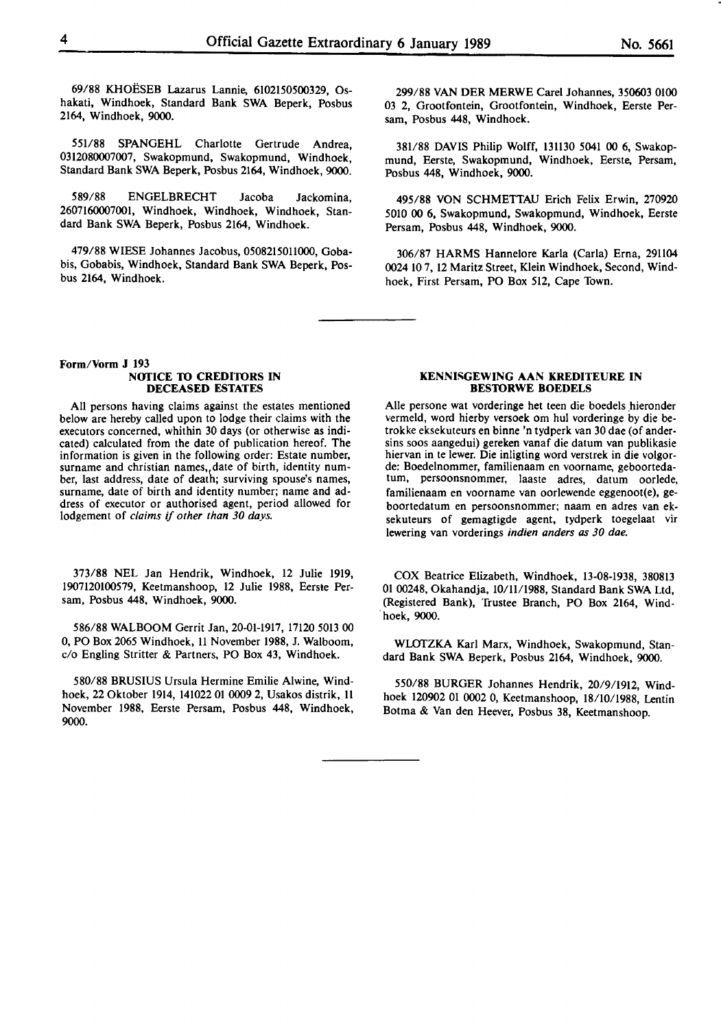69/88 KHOESEB Lazarus Lannie, 6102150500329, Oshakati, Windhoek, Standard Bank SWA Beperk, Posbus 2164, Windhoek, 9000.

551/88 SPANGEHL Charlotte Gertrude Andrea, 0312080007007, Swakopmund, Swakopmund, Windhoek, Standard Bank SWA Beperk, Posbus 2164, Windhoek, 9000.

589/88 ENGELBRECHT Jacoba Jackomina, 2607160007001, Windhoek, Windhoek, Windhoek, Standard Bank SWA Beperk, Posbus 2164, Windhoek.

479/88 WIESE Johannes Jacobus, 05082150ll000, Gobabis, Gobabis, Windhoek, Standard Bank SWA Beperk, Posbus 2164, Windhoek.

**Form/Vorm J 193 NOTICE TO CREDITORS IN DECEASED ESTATES** 

All persons having claims against the estates mentioned below are hereby called upon to lodge their claims with the executors concerned, whithin 30 days (or otherwise as indicated) calculated from the date of publication hereof. The information is given in the following order: Estate number, surname and christian names,,date of birth, identity number, last address, date of death; surviving spouse's names, surname, date of birth and identity number; name and address of executor or authorised agent, period allowed for lodgement of *claims if other than 30 days.* 

373/88 NEL Jan **Hendrik,** Windhoek, 12 Julie **1919,**  1907120100579, Keetmanshoop, 12 Julie 1988, Eerste Persam, Posbus 448, Windhoek, 9000.

586/88 WALBOOM Gerrit Jan, 20-01-1917, 17120 5013 00 0, PO Box 2065 Windhoek, ll November 1988, J. Walboom, c/o Engling Stritter & Partners, PO Box 43, Windhoek.

580/88 BRUSIUS Ursula Hermine Emilie Alwine, Windhoek, 22 Oktober 1914, 141022 01 0009 2, Usakos distrik, 11 November 1988, Eerste Persam, Posbus 448, Windhoek, 9000.

299/88 VAN DER MERWE Carel Johannes, 350603 0100 03 2, Grootfontein, Grootfontein, Windhoek, Eerste Persam, Posbus 448, Windhoek.

381/88 DAVIS Philip Wolff, l3ll30 5041 00 6, Swakopmund, Eerste, Swakopmund, Windhoek, Eerste, Persam, Posbus 448, Windhoek, 9000.

495/88 VON SCHMETTAU Erich Felix Erwin, 270920 5010 00 6, Swakopmund, Swakopmund, Windhoek, Eerste Persam, Posbus 448, Windhoek, 9000.

306/87 HARMS Hannelore Karla (Carla) Erna, 29ll04 0024 IO 7, 12 Maritz Street, Klein Windhoek, Second, Windhoek, First Persam, PO Box 512, Cape Town.

#### **KENNISGEWING AAN KREDITEURE IN BESTORWE BOEDELS**

Alle persone wat vorderinge het teen die boedels hieronder vermeld, word hierby versoek om hul vorderinge by die betrokke eksekuteurs en binne 'n tydperk van 30 dae (of andersins soos aangedui) gereken vanaf die datum van publikasie hiervan in te lewer. Die inligting word verstrek in die volgorde: Boedelnommer, familienaam en voorname, geboortedatum, persoonsnommer, laaste adres, datum oorlede, familienaam en voorname van oorlewende eggenoot(e), geboortedatum en persoonsnommer; naam en adres van eksekuteurs of gemagtigde agent, tydperk toegelaat vir lewering van vorderings *indien anders as 30 dae.* 

COX Beatrice Elizabeth, Windhoek, 13-08-1938, 380813 01 00248, Okahandja, **IO/ll/1988,** Standard Bank SWA Ltd, (Registered Bank), 'frustee Branch, PO Box 2164, Wind- . hoek, 9000.

WLOTZKA Karl Marx, Windhoek, Swakopmund, Standard **Bank SWA** Beperk, Posbus 2164, Windhoek, 9000.

**550/88** BURGER Johannes Hendrik, 20/9/1912, Windhoek 120902 01 0002 0, Keetmanshoop, 18/10/1988, Lentin Botma & Van den Heever, Posbus 38, Keetmanshoop.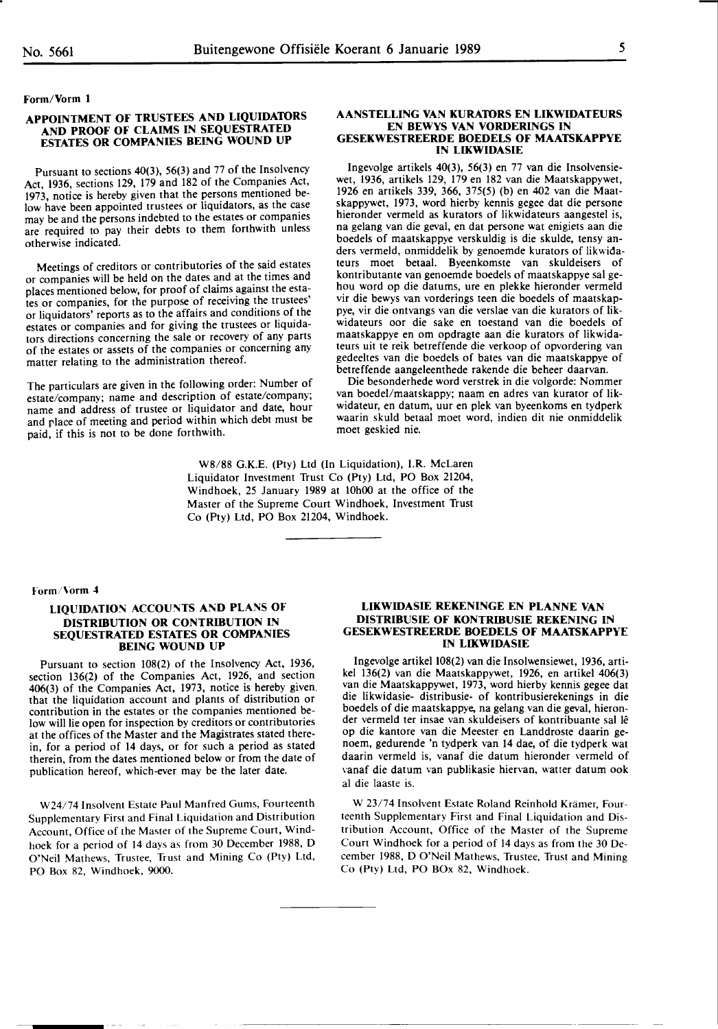#### **Form/Vorm 1**

#### **APPOINTMENT OF TRUSTEES AND LIQUIDATORS AND PROOF OF CLAIMS IN SEQUESTRATED ESTATES OR COMPANIES BEING WOUND UP**

Pursuant to sections 40(3), 56(3) and 77 of the Insolvency Act, 1936, sections 129, 179 and 182 of the Companies Act, 1973, notice is hereby given that the persons mentioned below have been appointed trustees or liquidators, as the case may be and the persons indebted to the estates or companies are required to pay their debts to them forthwith unless otherwise indicated.

Meetings of creditors or contributories of the said estates or companies will be held on the dates and at the times and places mentioned below, for proof of claims against the estates or companies, for the purpose of receiving the trustees' or liquidators' reports as to the affairs and conditions of the estates or companies and for giving the trustees or liquidators directions concerning the sale or recovery of any parts of the estates or assets of the companies or concerning any matter relating to the administration thereof.

The particulars are given in the following order: Number of estate/company; name and description of estate/company; name and address of trustee or liquidator and date, hour and place of meeting and period within which debt must be paid, if this is not to be done forthwith.

# W8/88 G.K.E. (Pty) Ltd (In Liquidation), I.R. McLaren Liquidator Investment Trust Co (Pty) Ltd, PO Box 21204, Windhoek, 25 January 1989 at 10h00 at the office of the Master of the Supreme Court Windhoek, Investment Trust Co (Pty) Ltd, PO Box 21204, Windhoek.

#### **AANSTELLING VAN KURATORS EN LIKWIDATEURS EN BEWYS VAN VORDERINGS IN GESEKWESTREERDE BOEDELS OF MAATSKAPPYE IN LIKWIDASIE**

lngevolge artikels 40(3), 56(3) en 77 van die Insolvensiewet, 1936, artikels 129, 179 en 182 van die Maatskappywet, 1926 en artikels 339, 366, 375(5) (b) en 402 van die Maatskappywet, 1973, word hierby kennis gegee dat die persone hieronder vermeld as kurators of likwidateurs aangestel is, na gelang van die geval, en dat persone wat enigiets aan die boedels of maatskappye verskuldig is die skulde, tensy anders vermeld, onmiddelik by genoemde kurators of Iikwidateurs moet betaal. Byeenkomste van skuldeisers of kontributante van genoemde boedels of maatskappye sal gehou word op die datums, ure en plekke hieronder vermeld vir die bewys van vorderings teen die boedels of maatskappye, vir die ontvangs van die verslae van die kurators of Iikwidateurs oor die sake en toestand van die boedels of maatskappye en om opdragte aan die kurators of likwidateurs uit te reik betreffende die verkoop of opvordering van gedeeltes van die boedels of bates van die maatskappye of betreffende aangeleenthede rakende die beheer daarvan.

Die besonderhede word verstrek in die volgorde: Nommer van boedel/maatskappy; naam en adres van kurator of Iikwidateur, en datum, uur en plek van byeenkoms en tydperk waarin skuld betaal moet word, indien dit nie onmiddelik moet geskied nie.

#### rorm/\'orm 4

#### **LIQUIDATION ACCOUNTS AND PLANS OF DISTRIBUTION OR CONTRIBUTION IN SEQUESTRATED ESTATES OR COMPANIES BEING WOUND UP**

Pursuant to section 108(2) of the Insolvency Act, 1936, section 136(2) of the Companies Act, 1926, and section 406(3) of the Companies Act, 1973, notice is hereby given. that the liquidation account and plants of distribution or contribution in the estates or the companies mentioned below will lie open for inspection by creditors or contributories at the offices of the Master and the Magistrates stated therein, for a period of 14 days, or for such a period as stated therein, from the dates mentioned below or from the date of publication hereof, which-ever may be the later date.

W24/74 Insolvent Estate Paul Manfred Gums, Fourteenth Supplementary First and Final Liquidation and Distribution Account, Office of the Master of the Supreme Court, Windhoek for a period of 14 days as from 30 December 1988, D O'Neil Mathews, Trustee, Trust and Mining Co (Pty) Ltd, PO Box 82, Windhoek, 9000.

#### **LIKWIDASIE REKENINGE EN PLANNE VAN DISTRIBUSIE OF KONTRIBUSIE REKENING IN GESEKWESTREERDE BOEDELS OF MAATSKAPPYE IN LIKWIDASIE**

lngevolge artikel 108(2) van die Insolwensiewet, 1936, artikel 136(2) van die Maatskappywet, 1926, en artikel 406(3) van die Maatskappywet, 1973, word hierby kennis gegee dat die likwidasie- distribusie- of kontribusierekenings in die boedels of die maatskappye, na gelang van die geval, hieronder vermeld ter insae van skuldeisers of kontribuante sal lê op die kantore van die Meester en Landdroste daarin genoem, gedurende 'n tydperk van 14 dae, of die tydperk wat daarin vermeld is, vanaf die datum hieronder vermeld of vanaf die datum van publikasie hiervan, watter datum ook al die laaste is.

W 23/74 Insolvent Estate Roland Reinhold Krämer, Fourteenth Supplementary First and Final Liquidation and Distribution Account, Office of the Master of the Supreme Court Windhoek for a period of 14 days as from the 30 December 1988, D O'Neil Mathews, Trustee, Trust and Mining Co (Pty) Ltd, PO BOx 82, Windhoek.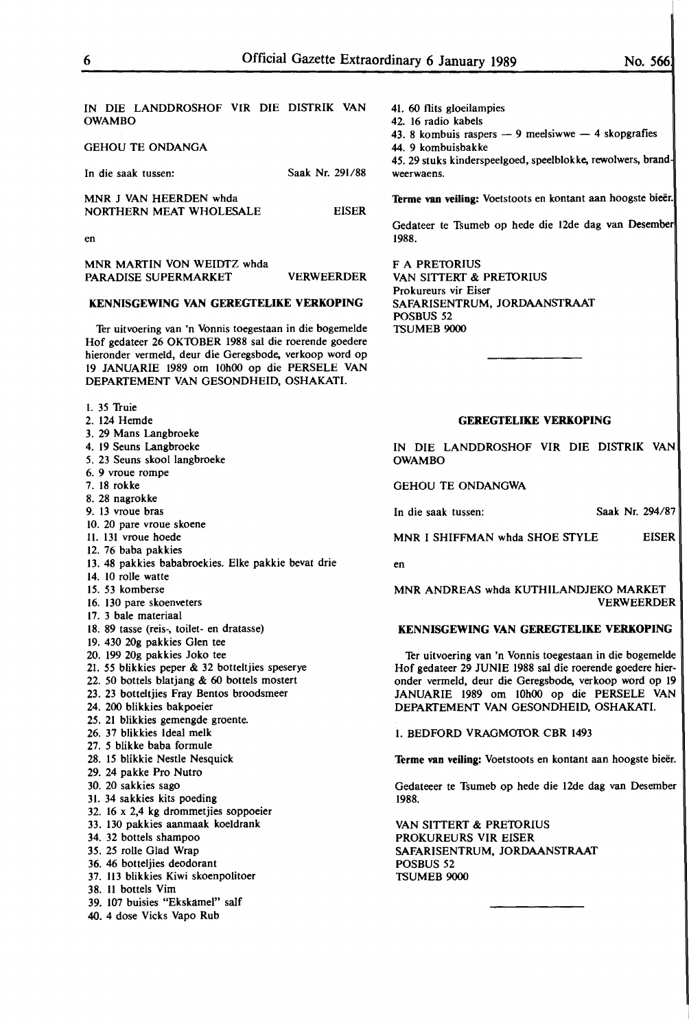IN DIE LANDDROSHOF VIR DIE DISTRIK VAN **OWAMBO** 

GEHOU TE **ONDANGA** 

| In die saak tussen:                               | Saak Nr. 291/88 |
|---------------------------------------------------|-----------------|
| MNR J VAN HEERDEN whda<br>NORTHERN MEAT WHOLESALE | <b>FISER</b>    |

en

**MNR MARTIN** VON WEIDTZ whda PARADISE SUPERMARKET VERWEERDER

#### **KENNISGEWING VAN GEREGTELIKE VERKOPING**

Ter uitvoering van 'n Vonnis toegestaan in die bogemelde Hof gedateer 26 OK10BER 1988 sal die roerende goedere hieronder vermeld, deur die Geregsbode. verkoop word op 19 JANUARIE 1989 om 10h00 op die PERSELE VAN DEPARTEMENT VAN GESONDHEID, OSHAKATI.

- I. 35 Truie
- 2. 124 Hemde
- 3. 29 Mans Langbroeke
- 4. 19 Seuns Langbroeke
- 5. 23 Seuns skool langbroeke
- 6. 9 vroue rompe
- 7. 18 **rokke**
- 8. 28 nagrokke
- 9. 13 vroue bras
- 10. 20 pare vroue skoene
- 11. 131 vroue hoede
- 12. 76 baba pakkies
- 13. 48 pakkies bababroekies. Elke pakkie bevat drie
- 14. 10 rolle watte
- 15. 53 komberse
- 16. 130 pare skoenveters
- 17. 3 bale materiaal
- 18. 89 tasse (reis-, toilet- en dratasse)
- 19. 430 20g pakkies Glen tee
- 20. 199 20g pakkies Joko tee
- 21. 55 blikkies peper & 32 botteltjies speserye
- 22. 50 bottels blatjang & 60 bottels mostert
- 23. 23 botteltjies Fray Bentos broodsmeer
- 24. 200 blikkies bakpoeier
- 25. 21 blikkies gemengde groente.
- 26. 37 blikkies Ideal melk
- 27. 5 blikke baba formule
- 28. 15 blikkie Nestle Nesquick
- 29. 24 pakke Pro Nutro
- 30. 20 sakkies sago
- 31. 34 sakkies kits poeding
- 32. 16 x 2,4 **kg** drommetjies soppoeier
- 33. 130 pakkies aanmaak koeldrank
- 34. 32 bottels shampoo
- 35. 25 rolle Glad Wrap
- 36. 46 botteljies deodorant
- 37. 113 blikkies **Kiwi** skoenpolitoer
- 38. 11 bottels Vim
- 39. 107 buisies "Ekskamel" salf
- **40. 4** dose **Vicks** Vapo **Rub**

41. 60 flits gloeilampies 42. 16 radio kabels 43. 8 kombuis raspers  $-9$  meelsiwwe  $-4$  skopgrafies

- 44. 9 kombuisbakke
- 

45. 29 stuks kinderspeelgoed, speelblokke, rewolwers, brandweerwaens.

Terme van veiling: Voetstoots en kontant aan hoogste bieër.

Gedateer te Tsumeb op hede die 12de dag van Desember 1988.

F A PRETORIUS VAN SITTERT & PRETORIUS Prokureurs vir Eiser SAFARISENTRUM, JORDAANSTRAAT POSBUS 52 TSUMEB 9000

#### **GEREGTELIKE VERKOPING**

IN DIE LANDDROSHOF VIR DIE DISTRIK VAN OWAMBO

GEHOU TE ONDANGWA

In die saak tussen: Saak Nr. 294/87

MNR I SHIFFMAN whda SHOE STYLE EISER

en

MNR ANDREAS whda KUTHILANDJEKO MARKET VERWEERDER

#### **KENNISGEWING VAN GEREGTELIKE VERKOPING**

Ter uitvoering van 'n Vonnis toegestaan in die bogemelde Hof gedateer 29 JUNIE 1988 sal die roerende goedere hieronder vermeld, deur die Geregsbode. verkoop word op 19 JANUARIE 1989 om 10h00 op die PERSELE VAN DEPARTEMENT VAN GESONDHEID, OSHAKATI.

1. BEDFORD VRAGM010R CBR 1493

Terme van veiling: Voetstoots en kontant aan hoogste bieër.

Gedateeer te Tsumeb op hede die 12de dag van Desember 1988.

VAN SITTERT & PRETORIUS PROKUREURS VIR EISER SAFARISENTRUM, JORDAANSTRAAT POSBUS 52 TSUMEB 9000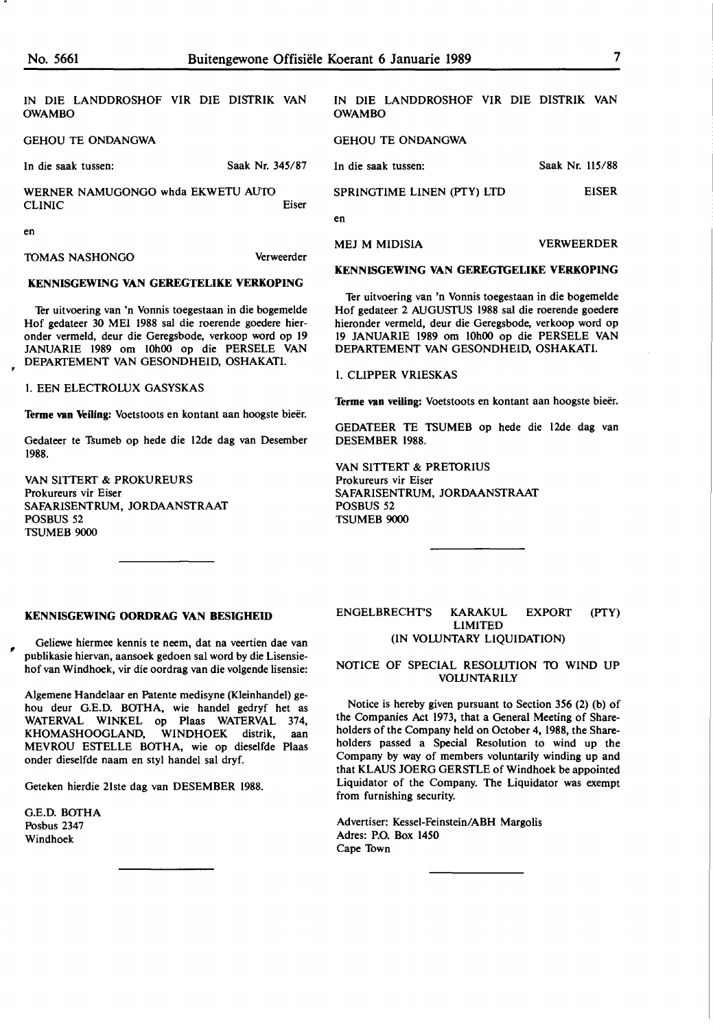IN DIE LANDDROSHOF VIR DIE DISTRIK VAN OWAMBO

GEHOU TE ONDANGWA

#### In die saak tussen: Saak Nr. 345/87

WERNER NAMUGONGO whda EKWETU AUTO CLINIC Eiser

en

TOMAS NASHONGO Verweerder

#### **KENNISGEWING VAN GEREGTELIKE VERKOPING**

Ter uitvoering van 'n Vonnis toegestaan in die bogemelde Hof gedateer 30 MEI 1988 sal die roerende goedere hieronder vermeld, deur die Geregsbode, verkoop word op 19 JANUARIE 1989 om 10h00 op die PERSELE VAN DEPARTEMENT VAN GESONDHEID, OSHAKATI.

I. EEN ELECTROLUX GASYSKAS

Terme van Veiling: Voetstoots en kontant aan hoogste bieër.

Gedateer te Tsumeb op hede die 12de dag van Desember 1988.

VAN SITTERT & PROKUREURS Prokureurs vir Eiser SAFARISENTRUM, JORDAANSTRAAT POSBUS 52 TSUMEB 9000

# IN DIE LANDDROSHOF VIR DIE DISTRIK VAN OWAMBO

#### GEHOU TE ONDANGWA

In die saak tussen: SPRINGTIME LINEN (PTY) LTD Saak Nr. 115/88 EISER

en

MEJ M MIDISIA VERWEERDER

**KENNISGEWING VAN GEREGTGELIKE VERKOPING** 

Ter uitvoering van 'n Vonnis toegestaan in die bogemelde Hof gedateer 2 AUGUSTUS 1988 sal die roerende goedere hieronder vermeld, deur die Geregsbode, verkoop word op 19 JANUARIE 1989 om 10h00 op die PERSELE VAN DEPARTEMENT VAN GESONDHEID, OSHAKATI.

#### I. CLIPPER VRIESKAS

Terme van veiling: Voetstoots en kontant aan hoogste bieër.

GEDATEER TE TSUMEB op hede die 12de dag van DESEMBER 1988.

VAN SITTERT & PRETORIUS Prokureurs vir Eiser SAFARISENTRUM, JORDAANSTRAAT POSBUS 52 TSUMEB 9000

#### **KENNISGEWING OORDRAG VAN BESIGHEID**

Geliewe hiermee kennis te neem, dat na veertien dae van publikasie hiervan, aansoek gedoen sal word by die Lisensiehof van Windhoek, vir die oordrag van die volgende lisensie:

Algemene Handelaar en Patente medisyne (Kleinhandel) gehou deur G.E.D. BOTHA, wie handel gedryf het as WATERVAL WINKEL op Plaas WATERVAL 374, KHOMASHOOGLAND, WINDHOEK distrik, aan MEVROU ESTELLE BOTHA, wie op dieselfde Plaas onder dieselfde naam en sty! handel sal dryf.

Geteken hierdie 2lste dag van DESEMBER 1988.

G.E.D. BOTHA Posbus 2347 Windhoek

,

#### ENGELBRECHT'S KARAKUL EXPORT (PTY) LIMITED (IN VOLUNTARY LIQUIDATION)

#### NOTICE OF SPECIAL RESOWTION TO WIND UP **VOLUNTARILY**

Notice is hereby given pursuant to Section 356 (2) (b) of the Companies Act 1973, that a General Meeting of Shareholders of the Company held on October 4, 1988, the Shareholders passed a Special Resolution to wind up the Company by way of members voluntarily winding up and that KLAUS JOERG GERSTLE of Windhoek be appointed Liquidator of the Company. The Liquidator was exempt from furnishing security.

Advertiser: Kessel-Feinstein/ABH Margolis Adres: P.O. Box 1450 Cape Town